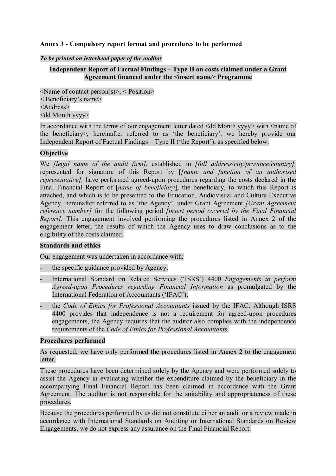# **Annex 3 - Compulsory report format and procedures to be performed**

#### *To be printed on letterhead paper of the auditor*

# **Independent Report of Factual Findings – Type II on costs claimed under a Grant Agreement financed under the <insert name> Programme**

 $\leq$ Name of contact person(s)>,  $\leq$  Position> < Beneficiary's name> <Address> <dd Month yyyy>

In accordance with the terms of our engagement letter dated <dd Month yyyy> with <name of the beneficiary>, hereinafter referred to as 'the beneficiary', we hereby provide our Independent Report of Factual Findings – Type II ('the Report'), as specified below.

## **Objective**

We *[legal name of the audit firm]*, established in *[full address/city/province/country],*  represented for signature of this Report by [*[name and function of an authorised representative],* have performed agreed-upon procedures regarding the costs declared in the Final Financial Report of [*name of beneficiary*], the beneficiary, to which this Report is attached, and which is to be presented to the Education, Audiovisual and Culture Executive Agency, hereinafter referred to as 'the Agency', under Grant Agreement *[Grant Agreement reference number]* for the following period *[insert period covered by the Final Financial Report].* This engagement involved performing the procedures listed in Annex 2 of the engagement letter, the results of which the Agency uses to draw conclusions as to the eligibility of the costs claimed.

### **Standards and ethics**

Our engagement was undertaken in accordance with:

- the specific guidance provided by Agency;
- International Standard on Related Services ('ISRS') 4400 *Engagements to perform Agreed-upon Procedures regarding Financial Information* as promulgated by the International Federation of Accountants ('IFAC');
- the *Code of Ethics for Professional Accountants* issued by the IFAC. Although ISRS 4400 provides that independence is not a requirement for agreed-upon procedures engagements, the Agency requires that the auditor also complies with the independence requirements of the *Code of Ethics for Professional Accountants.*

### **Procedures performed**

As requested, we have only performed the procedures listed in Annex 2 to the engagement letter.

These procedures have been determined solely by the Agency and were performed solely to assist the Agency in evaluating whether the expenditure claimed by the beneficiary in the accompanying Final Financial Report has been claimed in accordance with the Grant Agreement. The auditor is not responsible for the suitability and appropriateness of these procedures.

Because the procedures performed by us did not constitute either an audit or a review made in accordance with International Standards on Auditing or International Standards on Review Engagements, we do not express any assurance on the Final Financial Report.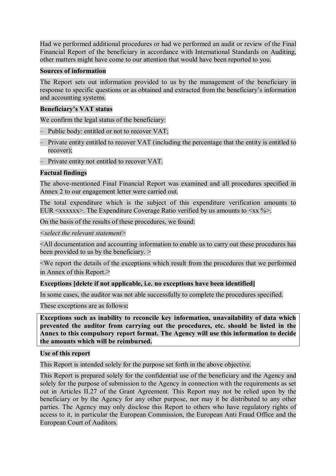Had we performed additional procedures or had we performed an audit or review of the Final Financial Report of the beneficiary in accordance with International Standards on Auditing, other matters might have come to our attention that would have been reported to you.

### **Sources of information**

The Report sets out information provided to us by the management of the beneficiary in response to specific questions or as obtained and extracted from the beneficiary's information and accounting systems.

# **Beneficiary's VAT status**

We confirm the legal status of the beneficiary:

- Public body: entitled or not to recover VAT;
- Private entity entitled to recover VAT (including the percentage that the entity is entitled to recover);
- Private entity not entitled to recover VAT.

## **Factual findings**

The above-mentioned Final Financial Report was examined and all procedures specified in Annex 2 to our engagement letter were carried out.

The total expenditure which is the subject of this expenditure verification amounts to EUR  $\langle xxxxxx\rangle$ . The Expenditure Coverage Ratio verified by us amounts to  $\langle xx, \frac{\partial}{\partial y} \rangle$ .

On the basis of the results of these procedures, we found:

*<select the relevant statement>*

<All documentation and accounting information to enable us to carry out these procedures has been provided to us by the beneficiary.  $>$ 

<We report the details of the exceptions which result from the procedures that we performed in Annex of this Report.>

### **Exceptions [delete if not applicable, i.e. no exceptions have been identified]**

In some cases, the auditor was not able successfully to complete the procedures specified.

These exceptions are as follows**:**

**Exceptions such as inability to reconcile key information, unavailability of data which prevented the auditor from carrying out the procedures, etc. should be listed in the Annex to this compulsory report format. The Agency will use this information to decide the amounts which will be reimbursed.**

# **Use of this report**

This Report is intended solely for the purpose set forth in the above objective.

This Report is prepared solely for the confidential use of the beneficiary and the Agency and solely for the purpose of submission to the Agency in connection with the requirements as set out in Articles II.27 of the Grant Agreement. This Report may not be relied upon by the beneficiary or by the Agency for any other purpose, nor may it be distributed to any other parties. The Agency may only disclose this Report to others who have regulatory rights of access to it, in particular the European Commission, the European Anti Fraud Office and the European Court of Auditors.